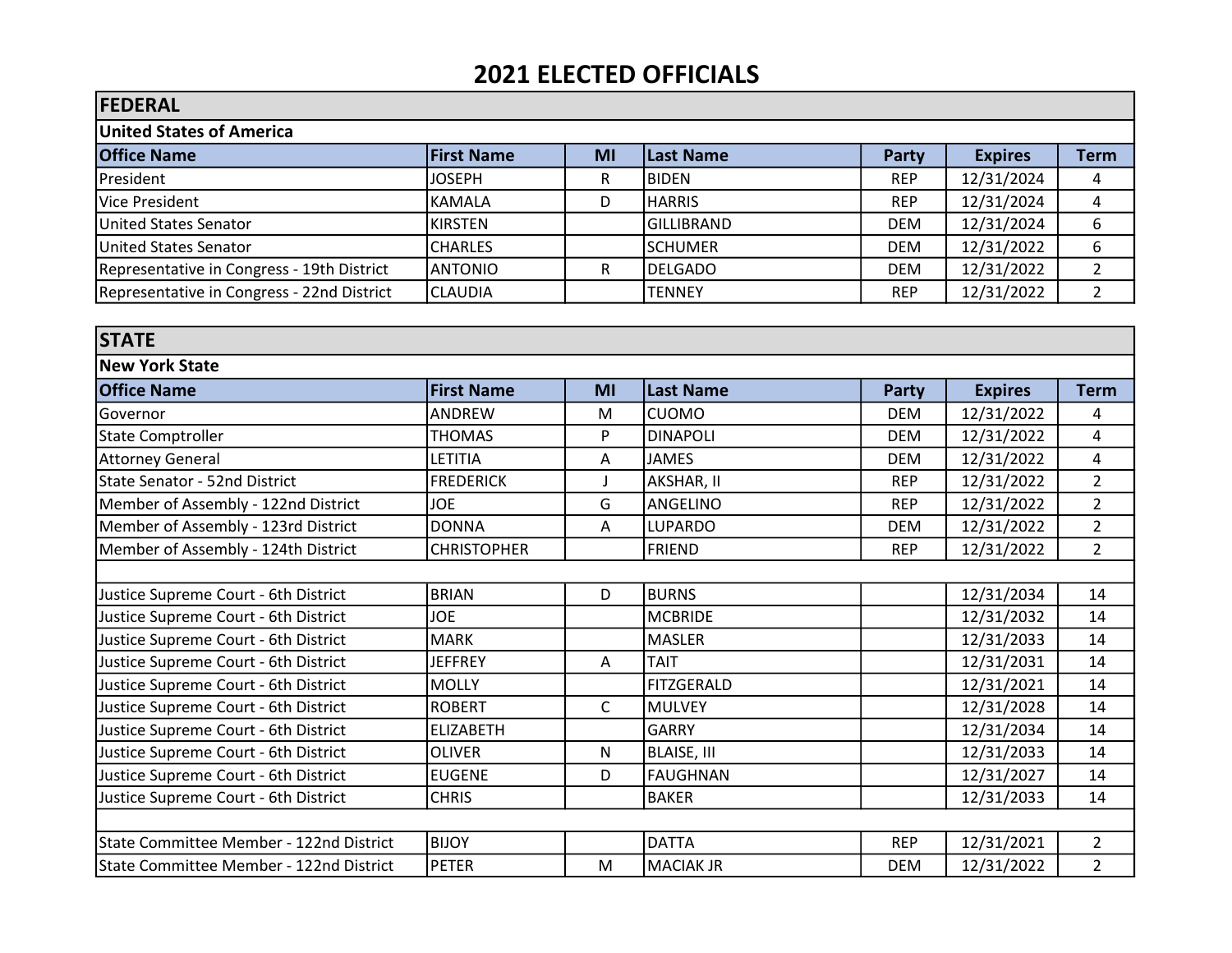| <b>FEDERAL</b>                             |                   |    |                  |              |                |             |  |  |  |
|--------------------------------------------|-------------------|----|------------------|--------------|----------------|-------------|--|--|--|
| <b>United States of America</b>            |                   |    |                  |              |                |             |  |  |  |
| <b>Office Name</b>                         | <b>First Name</b> | MI | <b>Last Name</b> | <b>Party</b> | <b>Expires</b> | <b>Term</b> |  |  |  |
| President                                  | <b>JOSEPH</b>     |    | <b>BIDEN</b>     | <b>REP</b>   | 12/31/2024     | 4           |  |  |  |
| Vice President                             | KAMALA            | D  | <b>HARRIS</b>    | <b>REP</b>   | 12/31/2024     |             |  |  |  |
| United States Senator                      | <b>KIRSTEN</b>    |    | IGILLIBRAND      | <b>DEM</b>   | 12/31/2024     | 6           |  |  |  |
| United States Senator                      | <b>CHARLES</b>    |    | <b>SCHUMER</b>   | <b>DEM</b>   | 12/31/2022     | 6           |  |  |  |
| Representative in Congress - 19th District | <b>ANTONIO</b>    |    | <b>DELGADO</b>   | <b>DEM</b>   | 12/31/2022     |             |  |  |  |
| Representative in Congress - 22nd District | <b>CLAUDIA</b>    |    | <b>TENNEY</b>    | <b>REP</b>   | 12/31/2022     |             |  |  |  |

| <b>STATE</b>                            |                    |              |                    |              |                |                |  |  |  |
|-----------------------------------------|--------------------|--------------|--------------------|--------------|----------------|----------------|--|--|--|
| <b>New York State</b>                   |                    |              |                    |              |                |                |  |  |  |
| <b>Office Name</b>                      | <b>First Name</b>  | MI           | Last Name          | <b>Party</b> | <b>Expires</b> | Term           |  |  |  |
| Governor                                | <b>ANDREW</b>      | M            | <b>CUOMO</b>       | <b>DEM</b>   | 12/31/2022     | 4              |  |  |  |
| <b>State Comptroller</b>                | <b>THOMAS</b>      | P            | <b>DINAPOLI</b>    | <b>DEM</b>   | 12/31/2022     | 4              |  |  |  |
| <b>Attorney General</b>                 | LETITIA            | А            | <b>JAMES</b>       | <b>DEM</b>   | 12/31/2022     | 4              |  |  |  |
| State Senator - 52nd District           | <b>FREDERICK</b>   |              | AKSHAR, II         | <b>REP</b>   | 12/31/2022     | $\overline{2}$ |  |  |  |
| Member of Assembly - 122nd District     | <b>JOE</b>         | G            | <b>ANGELINO</b>    | <b>REP</b>   | 12/31/2022     | $\overline{2}$ |  |  |  |
| Member of Assembly - 123rd District     | <b>DONNA</b>       | Α            | <b>LUPARDO</b>     | <b>DEM</b>   | 12/31/2022     | $\overline{2}$ |  |  |  |
| Member of Assembly - 124th District     | <b>CHRISTOPHER</b> |              | <b>FRIEND</b>      | <b>REP</b>   | 12/31/2022     | $\overline{2}$ |  |  |  |
|                                         |                    |              |                    |              |                |                |  |  |  |
| Justice Supreme Court - 6th District    | <b>BRIAN</b>       | D            | <b>BURNS</b>       |              | 12/31/2034     | 14             |  |  |  |
| Justice Supreme Court - 6th District    | <b>JOE</b>         |              | <b>MCBRIDE</b>     |              | 12/31/2032     | 14             |  |  |  |
| Justice Supreme Court - 6th District    | <b>MARK</b>        |              | <b>MASLER</b>      |              | 12/31/2033     | 14             |  |  |  |
| Justice Supreme Court - 6th District    | <b>JEFFREY</b>     | Α            | <b>TAIT</b>        |              | 12/31/2031     | 14             |  |  |  |
| Justice Supreme Court - 6th District    | <b>MOLLY</b>       |              | <b>FITZGERALD</b>  |              | 12/31/2021     | 14             |  |  |  |
| Justice Supreme Court - 6th District    | <b>ROBERT</b>      | $\mathsf{C}$ | <b>MULVEY</b>      |              | 12/31/2028     | 14             |  |  |  |
| Justice Supreme Court - 6th District    | <b>ELIZABETH</b>   |              | <b>GARRY</b>       |              | 12/31/2034     | 14             |  |  |  |
| Justice Supreme Court - 6th District    | <b>OLIVER</b>      | N            | <b>BLAISE, III</b> |              | 12/31/2033     | 14             |  |  |  |
| Justice Supreme Court - 6th District    | <b>EUGENE</b>      | D            | <b>FAUGHNAN</b>    |              | 12/31/2027     | 14             |  |  |  |
| Justice Supreme Court - 6th District    | <b>CHRIS</b>       |              | <b>BAKER</b>       |              | 12/31/2033     | 14             |  |  |  |
|                                         |                    |              |                    |              |                |                |  |  |  |
| State Committee Member - 122nd District | <b>BIJOY</b>       |              | <b>DATTA</b>       | <b>REP</b>   | 12/31/2021     | $\overline{2}$ |  |  |  |
| State Committee Member - 122nd District | <b>PETER</b>       | M            | <b>MACIAK JR</b>   | <b>DEM</b>   | 12/31/2022     | $\overline{2}$ |  |  |  |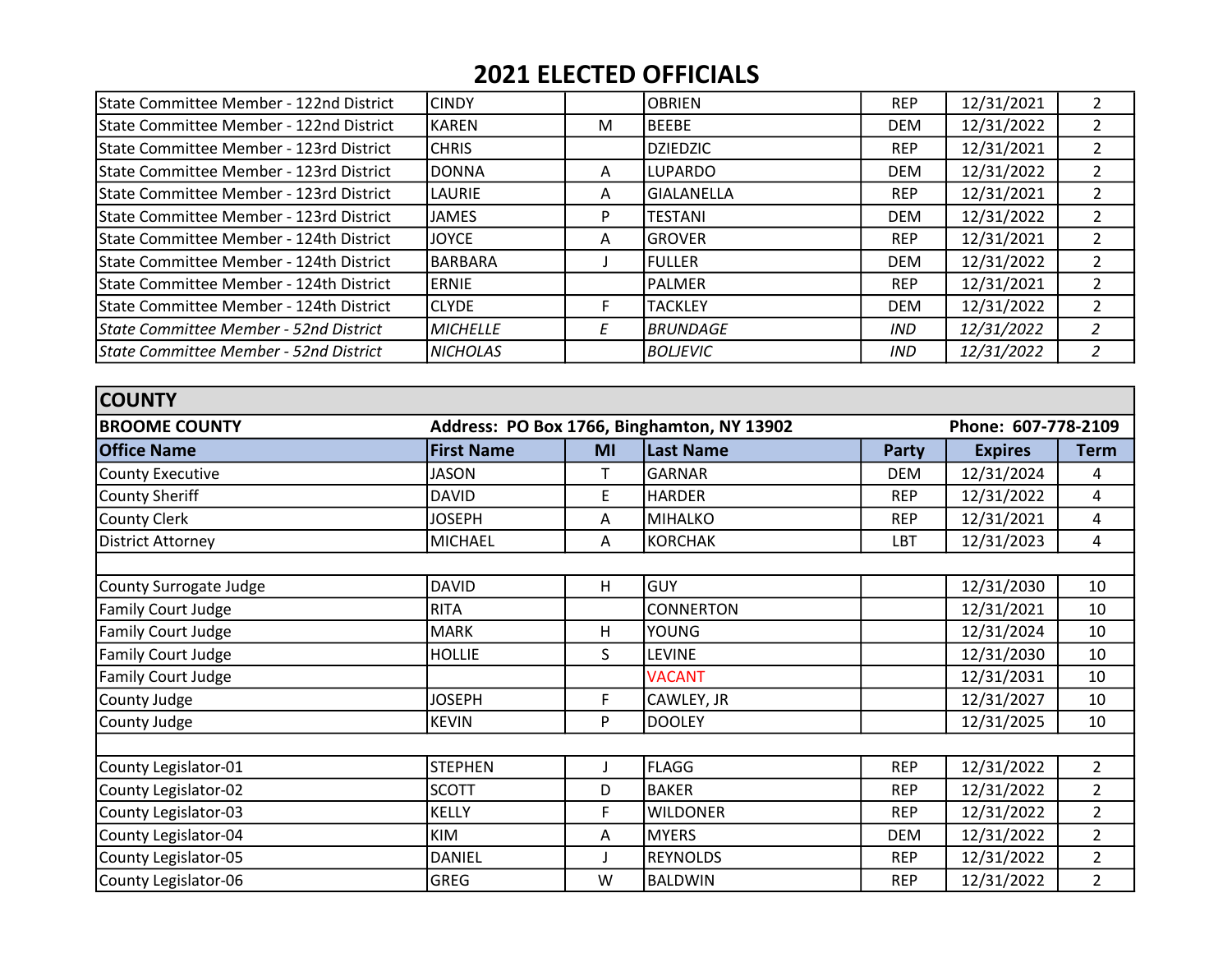| State Committee Member - 122nd District        | <b>CINDY</b>            |   | <b>OBRIEN</b>   | <b>REP</b> | 12/31/2021 |  |
|------------------------------------------------|-------------------------|---|-----------------|------------|------------|--|
| State Committee Member - 122nd District        | IKAREN                  | M | <b>IBEEBE</b>   | <b>DEM</b> | 12/31/2022 |  |
| State Committee Member - 123rd District        | <b>CHRIS</b>            |   | DZIEDZIC        | <b>REP</b> | 12/31/2021 |  |
| State Committee Member - 123rd District        | DONNA                   | A | <b>LUPARDO</b>  | <b>DEM</b> | 12/31/2022 |  |
| <b>State Committee Member - 123rd District</b> | <b>LAURIE</b>           | A | lgialanella     | <b>REP</b> | 12/31/2021 |  |
| State Committee Member - 123rd District        | JAMES                   | P | <b>TESTANI</b>  | <b>DEM</b> | 12/31/2022 |  |
| State Committee Member - 124th District        | <b>JOYCE</b>            | A | <b>GROVER</b>   | <b>REP</b> | 12/31/2021 |  |
| lState Committee Member - 124th District       | <b>BARBARA</b>          |   | IFULLER         | <b>DEM</b> | 12/31/2022 |  |
| <b>State Committee Member - 124th District</b> | <b>ERNIE</b>            |   | IPALMER         | <b>REP</b> | 12/31/2021 |  |
| <b>State Committee Member - 124th District</b> | lclyde.                 |   | <b>TACKLEY</b>  | <b>DEM</b> | 12/31/2022 |  |
| State Committee Member - 52nd District         | <i>\MICHELLE</i>        | Ε | IBRUNDAGE       | IND        | 12/31/2022 |  |
| State Committee Member - 52nd District         | <i><b>INICHOLAS</b></i> |   | <i>BOLJEVIC</i> | IND.       | 12/31/2022 |  |

| <b>COUNTY</b>             |                   |           |                                            |            |                     |                |
|---------------------------|-------------------|-----------|--------------------------------------------|------------|---------------------|----------------|
| <b>BROOME COUNTY</b>      |                   |           | Address: PO Box 1766, Binghamton, NY 13902 |            | Phone: 607-778-2109 |                |
| <b>Office Name</b>        | <b>First Name</b> | <b>MI</b> | Last Name                                  | Party      | <b>Expires</b>      | <b>Term</b>    |
| <b>County Executive</b>   | <b>JASON</b>      | T         | <b>GARNAR</b>                              | <b>DEM</b> | 12/31/2024          | 4              |
| County Sheriff            | <b>DAVID</b>      | E         | <b>HARDER</b>                              | <b>REP</b> | 12/31/2022          | 4              |
| <b>County Clerk</b>       | <b>JOSEPH</b>     | А         | <b>MIHALKO</b>                             | <b>REP</b> | 12/31/2021          | 4              |
| <b>District Attorney</b>  | <b>MICHAEL</b>    | Α         | <b>KORCHAK</b>                             | LBT        | 12/31/2023          | 4              |
|                           |                   |           |                                            |            |                     |                |
| County Surrogate Judge    | <b>DAVID</b>      | H         | <b>GUY</b>                                 |            | 12/31/2030          | 10             |
| <b>Family Court Judge</b> | <b>RITA</b>       |           | <b>CONNERTON</b>                           |            | 12/31/2021          | 10             |
| Family Court Judge        | <b>MARK</b>       | Н         | <b>YOUNG</b>                               |            | 12/31/2024          | 10             |
| Family Court Judge        | <b>HOLLIE</b>     | S.        | <b>LEVINE</b>                              |            | 12/31/2030          | 10             |
| Family Court Judge        |                   |           | <b>VACANT</b>                              |            | 12/31/2031          | 10             |
| County Judge              | <b>JOSEPH</b>     | F.        | CAWLEY, JR                                 |            | 12/31/2027          | 10             |
| County Judge              | <b>KEVIN</b>      | P         | <b>DOOLEY</b>                              |            | 12/31/2025          | 10             |
|                           |                   |           |                                            |            |                     |                |
| County Legislator-01      | <b>STEPHEN</b>    | J         | <b>FLAGG</b>                               | <b>REP</b> | 12/31/2022          | $\overline{2}$ |
| County Legislator-02      | <b>SCOTT</b>      | D         | <b>BAKER</b>                               | <b>REP</b> | 12/31/2022          | $\overline{2}$ |
| County Legislator-03      | <b>KELLY</b>      | F.        | <b>WILDONER</b>                            | <b>REP</b> | 12/31/2022          | $\overline{2}$ |
| County Legislator-04      | KIM               | Α         | <b>MYERS</b>                               | <b>DEM</b> | 12/31/2022          | $\overline{2}$ |
| County Legislator-05      | <b>DANIEL</b>     |           | <b>REYNOLDS</b>                            | <b>REP</b> | 12/31/2022          | $\overline{2}$ |
| County Legislator-06      | <b>GREG</b>       | W         | <b>BALDWIN</b>                             | <b>REP</b> | 12/31/2022          | $\overline{2}$ |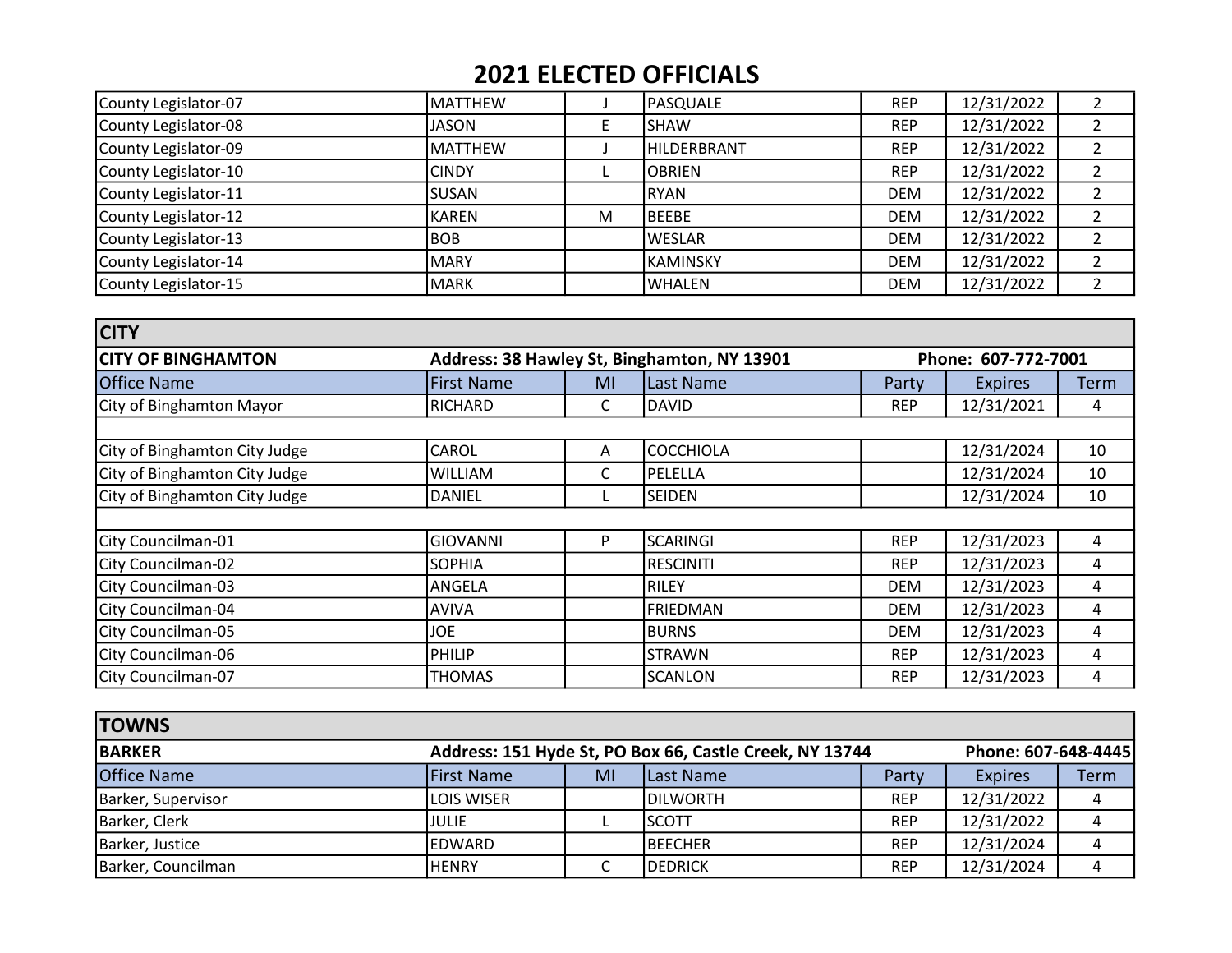| County Legislator-07 | MATTHEW      |   | <b>PASQUALE</b> | <b>REP</b> | 12/31/2022 |   |
|----------------------|--------------|---|-----------------|------------|------------|---|
| County Legislator-08 | ljason       |   | <b>SHAW</b>     | <b>REP</b> | 12/31/2022 |   |
| County Legislator-09 | MATTHEW      |   | IHILDERBRANT    | <b>REP</b> | 12/31/2022 |   |
| County Legislator-10 | <b>CINDY</b> |   | IOBRIEN         | <b>REP</b> | 12/31/2022 |   |
| County Legislator-11 | lsusan       |   | <b>RYAN</b>     | <b>DEM</b> | 12/31/2022 |   |
| County Legislator-12 | KAREN        | M | BEEBE           | <b>DEM</b> | 12/31/2022 |   |
| County Legislator-13 | BOB          |   | lweslar         | <b>DEM</b> | 12/31/2022 |   |
| County Legislator-14 | <b>MARY</b>  |   | KAMINSKY        | <b>DEM</b> | 12/31/2022 |   |
| County Legislator-15 | lMARK        |   | lwhalen         | <b>DEM</b> | 12/31/2022 | າ |

| <b>CITY</b>                   |                   |                                             |                  |            |                     |      |
|-------------------------------|-------------------|---------------------------------------------|------------------|------------|---------------------|------|
| <b>CITY OF BINGHAMTON</b>     |                   | Address: 38 Hawley St, Binghamton, NY 13901 |                  |            | Phone: 607-772-7001 |      |
| <b>Office Name</b>            | <b>First Name</b> | MI                                          | Last Name        | Party      | <b>Expires</b>      | Term |
| City of Binghamton Mayor      | <b>RICHARD</b>    | C                                           | DAVID            | <b>REP</b> | 12/31/2021          | 4    |
|                               |                   |                                             |                  |            |                     |      |
| City of Binghamton City Judge | <b>CAROL</b>      | A                                           | <b>COCCHIOLA</b> |            | 12/31/2024          | 10   |
| City of Binghamton City Judge | <b>WILLIAM</b>    | C                                           | PELELLA          |            | 12/31/2024          | 10   |
| City of Binghamton City Judge | <b>DANIEL</b>     |                                             | <b>SEIDEN</b>    |            | 12/31/2024          | 10   |
|                               |                   |                                             |                  |            |                     |      |
| City Councilman-01            | GIOVANNI          | P                                           | SCARINGI         | <b>REP</b> | 12/31/2023          | 4    |
| City Councilman-02            | <b>SOPHIA</b>     |                                             | <b>RESCINITI</b> | <b>REP</b> | 12/31/2023          | 4    |
| City Councilman-03            | ANGELA            |                                             | RILEY            | <b>DEM</b> | 12/31/2023          | 4    |
| City Councilman-04            | <b>AVIVA</b>      |                                             | <b>FRIEDMAN</b>  | <b>DEM</b> | 12/31/2023          | 4    |
| City Councilman-05            | <b>JOE</b>        |                                             | <b>BURNS</b>     | <b>DEM</b> | 12/31/2023          | 4    |
| City Councilman-06            | PHILIP            |                                             | <b>STRAWN</b>    | <b>REP</b> | 12/31/2023          | 4    |
| City Councilman-07            | <b>THOMAS</b>     |                                             | <b>SCANLON</b>   | <b>REP</b> | 12/31/2023          | 4    |

| <b>TOWNS</b>       |                    |                                                         |                 |            |                |      |  |
|--------------------|--------------------|---------------------------------------------------------|-----------------|------------|----------------|------|--|
| <b>BARKER</b>      |                    | Address: 151 Hyde St, PO Box 66, Castle Creek, NY 13744 |                 |            |                |      |  |
| <b>Office Name</b> | <b>IFirst Name</b> | MI                                                      | Last Name       | Party      | <b>Expires</b> | Term |  |
| Barker, Supervisor | LOIS WISER         |                                                         | IDILWORTH       | <b>REP</b> | 12/31/2022     |      |  |
| Barker, Clerk      | IJULIE             |                                                         | ISCOTT          | <b>REP</b> | 12/31/2022     |      |  |
| Barker, Justice    | IEDWARD            |                                                         | <b>IBEECHER</b> | <b>REP</b> | 12/31/2024     |      |  |
| Barker, Councilman | <b>HENRY</b>       |                                                         | DEDRICK         | <b>REP</b> | 12/31/2024     |      |  |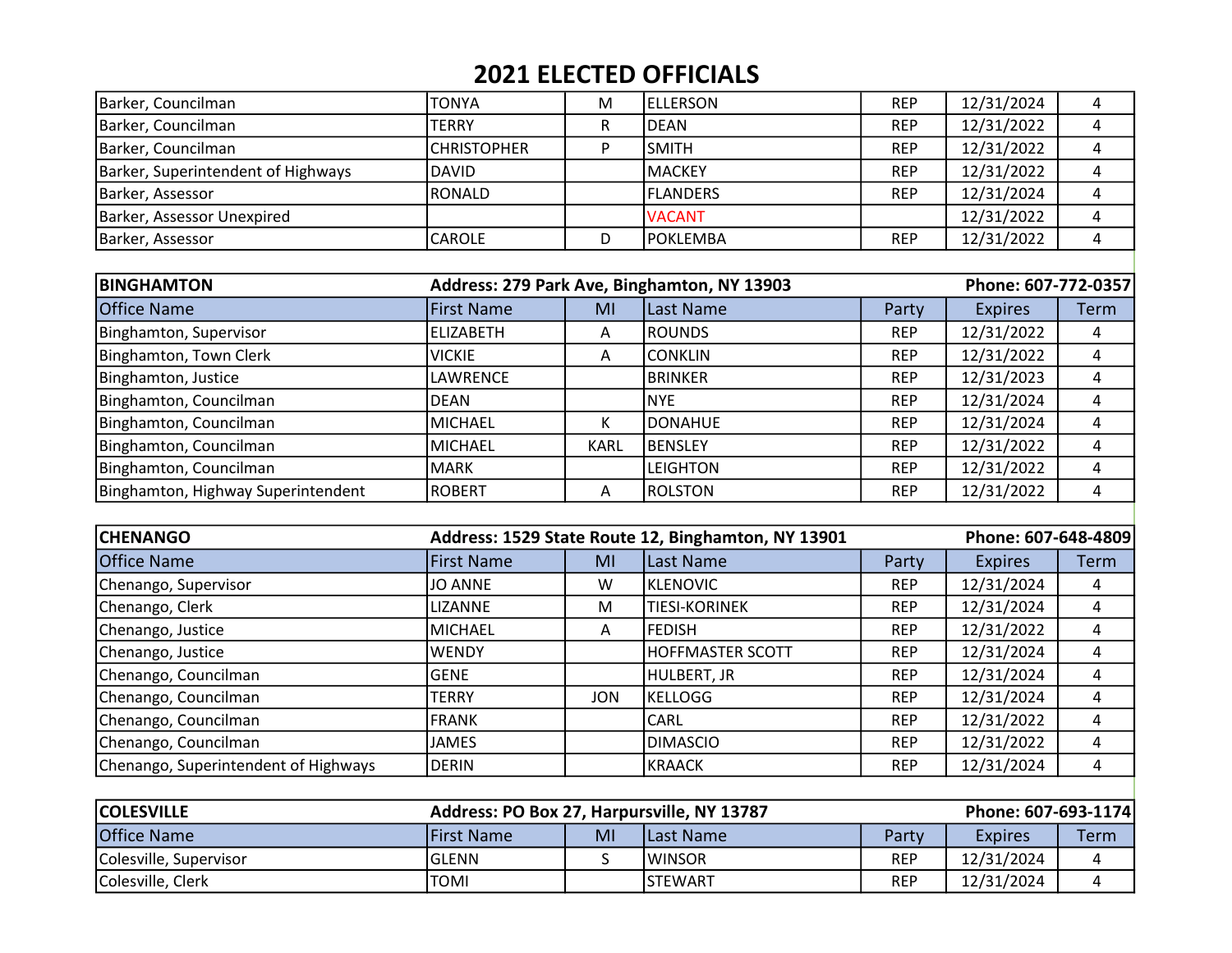| Barker, Councilman                 | <b>TONYA</b>       | M  | IELLERSON        | <b>REP</b> | 12/31/2024 |  |
|------------------------------------|--------------------|----|------------------|------------|------------|--|
| Barker, Councilman                 | <b>TERRY</b>       | R. | DEAN             | <b>REP</b> | 12/31/2022 |  |
| Barker, Councilman                 | <b>CHRISTOPHER</b> |    | lsmith           | <b>REP</b> | 12/31/2022 |  |
| Barker, Superintendent of Highways | DAVID              |    | lMACKEY          | <b>REP</b> | 12/31/2022 |  |
| Barker, Assessor                   | RONALD             |    | <b>IFLANDERS</b> | <b>REP</b> | 12/31/2024 |  |
| Barker, Assessor Unexpired         |                    |    | <b>VACANT</b>    |            | 12/31/2022 |  |
| Barker, Assessor                   | <b>CAROLE</b>      | D  | lpoklemba        | <b>REP</b> | 12/31/2022 |  |
|                                    |                    |    |                  |            |            |  |

| <b>BINGHAMTON</b>                  | Address: 279 Park Ave, Binghamton, NY 13903 | Phone: 607-772-0357 |                 |            |                |      |
|------------------------------------|---------------------------------------------|---------------------|-----------------|------------|----------------|------|
| <b>Office Name</b>                 | <b>First Name</b>                           | MI                  | Last Name       | Party      | <b>Expires</b> | Term |
| Binghamton, Supervisor             | <b>ELIZABETH</b>                            | $\overline{A}$      | ROUNDS          | <b>REP</b> | 12/31/2022     |      |
| Binghamton, Town Clerk             | <b>IVICKIE</b>                              | A                   | ICONKLIN        | <b>REP</b> | 12/31/2022     |      |
| Binghamton, Justice                | LAWRENCE                                    |                     | <b>BRINKER</b>  | <b>REP</b> | 12/31/2023     |      |
| Binghamton, Councilman             | <b>IDEAN</b>                                |                     | <b>NYE</b>      | <b>REP</b> | 12/31/2024     |      |
| Binghamton, Councilman             | MICHAEL                                     | К                   | <b>DONAHUE</b>  | <b>REP</b> | 12/31/2024     |      |
| Binghamton, Councilman             | MICHAEL                                     | <b>KARL</b>         | <b>BENSLEY</b>  | <b>REP</b> | 12/31/2022     |      |
| Binghamton, Councilman             | <b>MARK</b>                                 |                     | <b>LEIGHTON</b> | <b>REP</b> | 12/31/2022     |      |
| Binghamton, Highway Superintendent | ROBERT                                      | A                   | ROLSTON         | <b>REP</b> | 12/31/2022     |      |

| <b>CHENANGO</b>                      |                   | Address: 1529 State Route 12, Binghamton, NY 13901 |                         |            |                |      |  |
|--------------------------------------|-------------------|----------------------------------------------------|-------------------------|------------|----------------|------|--|
| <b>Office Name</b>                   | <b>First Name</b> | MI                                                 | Last Name               | Party      | <b>Expires</b> | Term |  |
| Chenango, Supervisor                 | lJO ANNE          | W                                                  | KLENOVIC                | <b>REP</b> | 12/31/2024     | 4    |  |
| Chenango, Clerk                      | <b>LIZANNE</b>    | M                                                  | <b>TIESI-KORINEK</b>    | <b>REP</b> | 12/31/2024     | 4    |  |
| Chenango, Justice                    | IMICHAEL          | A                                                  | lfedish                 | <b>REP</b> | 12/31/2022     | 4    |  |
| Chenango, Justice                    | WENDY             |                                                    | <b>HOFFMASTER SCOTT</b> | <b>REP</b> | 12/31/2024     | 4    |  |
| Chenango, Councilman                 | lgene             |                                                    | HULBERT, JR             | <b>REP</b> | 12/31/2024     | 4    |  |
| Chenango, Councilman                 | <b>TERRY</b>      | <b>JON</b>                                         | KELLOGG                 | <b>REP</b> | 12/31/2024     | 4    |  |
| Chenango, Councilman                 | FRANK             |                                                    | CARL                    | <b>REP</b> | 12/31/2022     | 4    |  |
| Chenango, Councilman                 | JAMES             |                                                    | <b>DIMASCIO</b>         | <b>REP</b> | 12/31/2022     | 4    |  |
| Chenango, Superintendent of Highways | <b>DERIN</b>      |                                                    | <b>KRAACK</b>           | <b>REP</b> | 12/31/2024     | 4    |  |

| <b>COLESVILLE</b>      | Address: PO Box 27, Harpursville, NY 13787 |    |            |            | Phone: 607-693-1174 |      |
|------------------------|--------------------------------------------|----|------------|------------|---------------------|------|
| <b>Office Name</b>     | lFirst Name                                | MI | ILast Name | Party      | <b>Expires</b>      | Term |
| Colesville, Supervisor | lglenn                                     |    | IWINSOR    | REP        | 12/31/2024          | 4    |
| Colesville, Clerk      | <b>TOMI</b>                                |    | lstewart   | <b>REP</b> | 12/31/2024          | 4    |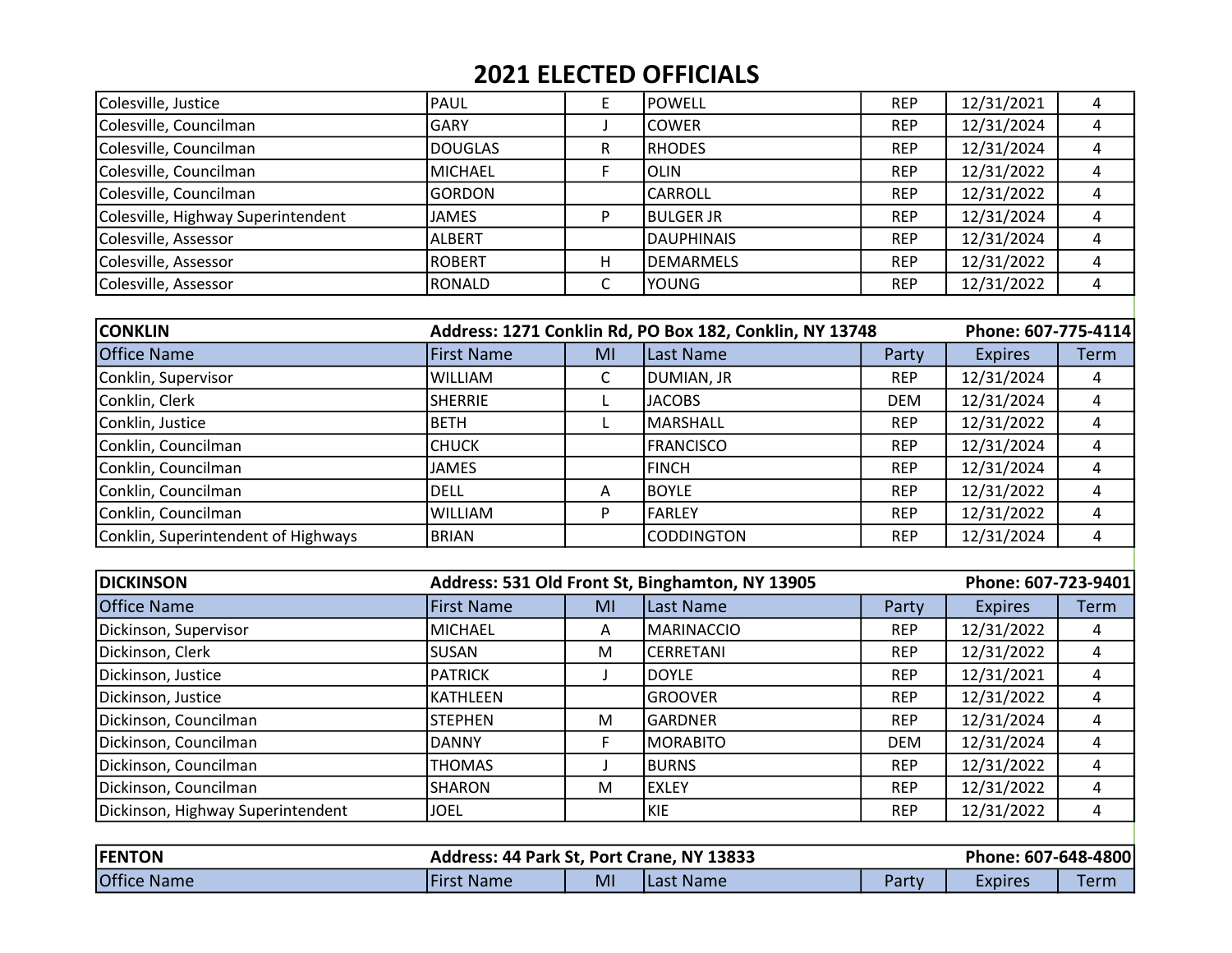| Colesville, Justice                | PAUL           |   | <b>POWELL</b>     | <b>REP</b> | 12/31/2021 |  |
|------------------------------------|----------------|---|-------------------|------------|------------|--|
| Colesville, Councilman             | <b>GARY</b>    |   | COWER             | <b>REP</b> | 12/31/2024 |  |
| Colesville, Councilman             | <b>DOUGLAS</b> | R | <b>RHODES</b>     | <b>REP</b> | 12/31/2024 |  |
| Colesville, Councilman             | <b>MICHAEL</b> |   | iolin             | <b>REP</b> | 12/31/2022 |  |
| Colesville, Councilman             | <b>GORDON</b>  |   | ICARROLL          | <b>REP</b> | 12/31/2022 |  |
| Colesville, Highway Superintendent | JAMES          |   | BULGER JR         | <b>REP</b> | 12/31/2024 |  |
| Colesville, Assessor               | ALBERT         |   | <b>DAUPHINAIS</b> | <b>REP</b> | 12/31/2024 |  |
| Colesville, Assessor               | ROBERT         | H | <b>DEMARMELS</b>  | <b>REP</b> | 12/31/2022 |  |
| Colesville, Assessor               | RONALD         |   | YOUNG             | <b>REP</b> | 12/31/2022 |  |

| <b>CONKLIN</b>                      |                   | Address: 1271 Conklin Rd, PO Box 182, Conklin, NY 13748 |                   |            |                |      |  |
|-------------------------------------|-------------------|---------------------------------------------------------|-------------------|------------|----------------|------|--|
| <b>Office Name</b>                  | <b>First Name</b> | MI                                                      | Last Name         | Party      | <b>Expires</b> | Term |  |
| Conklin, Supervisor                 | WILLIAM           | C                                                       | DUMIAN, JR        | <b>REP</b> | 12/31/2024     | 4    |  |
| Conklin, Clerk                      | SHERRIE           |                                                         | JACOBS            | <b>DEM</b> | 12/31/2024     | 4    |  |
| Conklin, Justice                    | <b>BETH</b>       |                                                         | MARSHALL          | <b>REP</b> | 12/31/2022     | 4    |  |
| Conklin, Councilman                 | <b>CHUCK</b>      |                                                         | FRANCISCO         | <b>REP</b> | 12/31/2024     | 4    |  |
| Conklin, Councilman                 | JAMES             |                                                         | FINCH             | <b>REP</b> | 12/31/2024     | 4    |  |
| Conklin, Councilman                 | DELL              | A                                                       | BOYLE             | <b>REP</b> | 12/31/2022     | 4    |  |
| Conklin, Councilman                 | WILLIAM           | P                                                       | FARLEY            | <b>REP</b> | 12/31/2022     | 4    |  |
| Conklin, Superintendent of Highways | <b>BRIAN</b>      |                                                         | <b>CODDINGTON</b> | <b>REP</b> | 12/31/2024     | 4    |  |

| <b>DICKINSON</b>                  |                   | Address: 531 Old Front St, Binghamton, NY 13905 |                   |            |                |             |  |  |  |
|-----------------------------------|-------------------|-------------------------------------------------|-------------------|------------|----------------|-------------|--|--|--|
| <b>Office Name</b>                | <b>First Name</b> | MI                                              | Last Name         | Party      | <b>Expires</b> | <b>Term</b> |  |  |  |
| Dickinson, Supervisor             | MICHAEL           | A                                               | <b>MARINACCIO</b> | <b>REP</b> | 12/31/2022     | 4           |  |  |  |
| Dickinson, Clerk                  | ISUSAN            | M                                               | <b>CERRETANI</b>  | <b>REP</b> | 12/31/2022     | 4           |  |  |  |
| Dickinson, Justice                | PATRICK           |                                                 | DOYLE             | <b>REP</b> | 12/31/2021     | 4           |  |  |  |
| Dickinson, Justice                | KATHLEEN          |                                                 | <b>GROOVER</b>    | <b>REP</b> | 12/31/2022     | 4           |  |  |  |
| Dickinson, Councilman             | <b>STEPHEN</b>    | M                                               | <b>GARDNER</b>    | <b>REP</b> | 12/31/2024     | 4           |  |  |  |
| Dickinson, Councilman             | DANNY             | F                                               | MORABITO          | <b>DEM</b> | 12/31/2024     | 4           |  |  |  |
| Dickinson, Councilman             | <b>THOMAS</b>     |                                                 | <b>BURNS</b>      | <b>REP</b> | 12/31/2022     | 4           |  |  |  |
| Dickinson, Councilman             | <b>SHARON</b>     | M                                               | <b>EXLEY</b>      | <b>REP</b> | 12/31/2022     | 4           |  |  |  |
| Dickinson, Highway Superintendent | <b>JOEL</b>       |                                                 | KIE               | <b>REP</b> | 12/31/2022     | 4           |  |  |  |
|                                   |                   |                                                 |                   |            |                |             |  |  |  |

| <b>FENTON</b>      | Address: 44 Park St, Port Crane, NY 13833 | Phone: 607-648-4800 |                   |       |                |             |
|--------------------|-------------------------------------------|---------------------|-------------------|-------|----------------|-------------|
| <b>Office Name</b> | <b>First Name</b>                         | MI                  | <b>ILast Name</b> | Party | <b>Expires</b> | <b>Term</b> |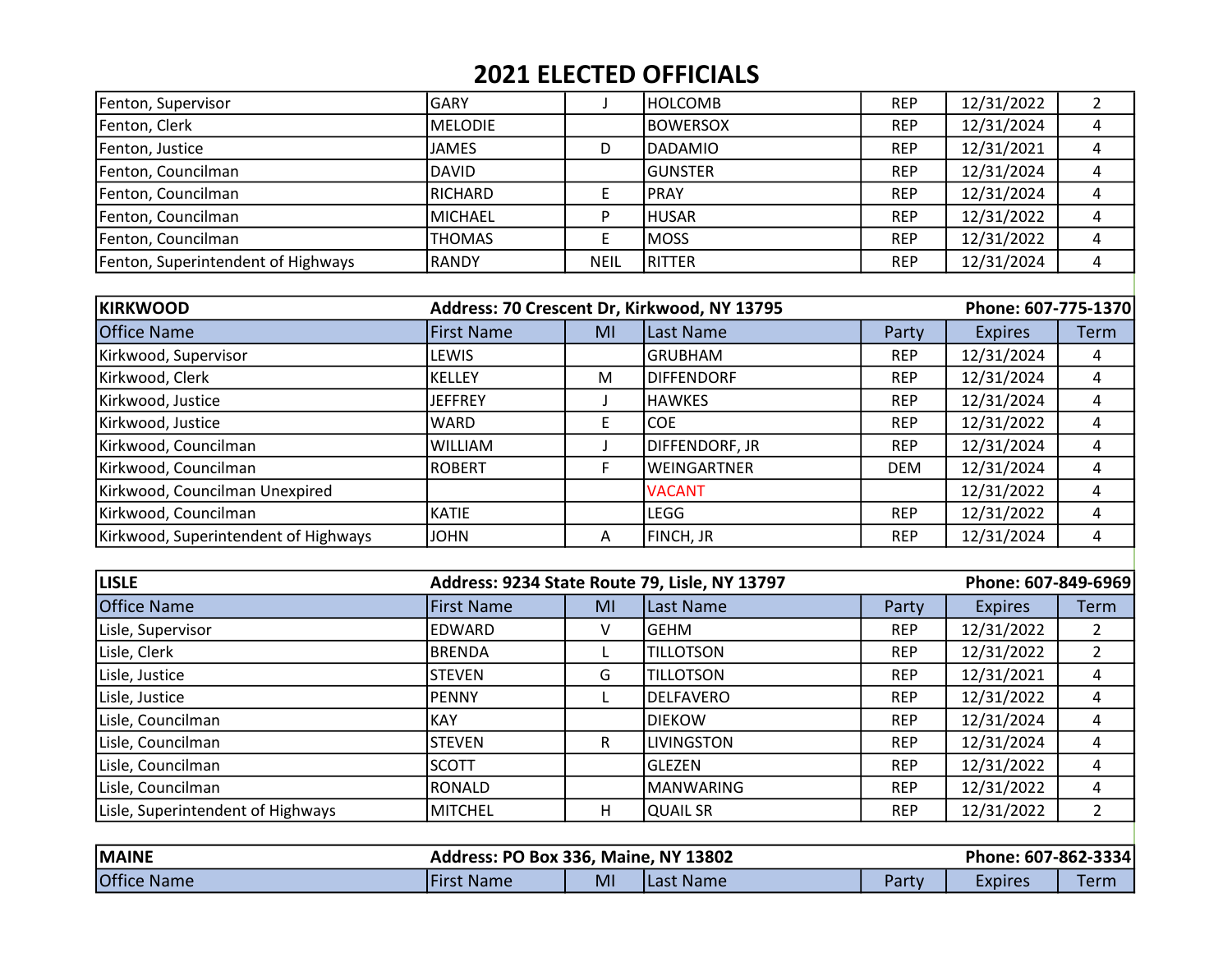| Fenton, Supervisor                 | <b>GARY</b>  |      | IHOLCOMB         | <b>REP</b> | 12/31/2022 |  |
|------------------------------------|--------------|------|------------------|------------|------------|--|
| Fenton, Clerk                      | lmelodie     |      | <b>IBOWERSOX</b> | <b>REP</b> | 12/31/2024 |  |
| Fenton, Justice                    | <b>JAMES</b> | D    | DADAMIO          | <b>REP</b> | 12/31/2021 |  |
| Fenton, Councilman                 | DAVID        |      | IGUNSTER         | <b>REP</b> | 12/31/2024 |  |
| Fenton, Councilman                 | RICHARD      |      | PRAY             | <b>REP</b> | 12/31/2024 |  |
| Fenton, Councilman                 | MICHAEL      | D.   | IHUSAR           | <b>REP</b> | 12/31/2022 |  |
| Fenton, Councilman                 | THOMAS       |      | MOSS             | <b>REP</b> | 12/31/2022 |  |
| Fenton, Superintendent of Highways | RANDY        | NEIL | RITTER           | <b>REP</b> | 12/31/2024 |  |

| <b>KIRKWOOD</b>                      |                   | Address: 70 Crescent Dr, Kirkwood, NY 13795 |                |            |                |      |
|--------------------------------------|-------------------|---------------------------------------------|----------------|------------|----------------|------|
| Office Name                          | <b>First Name</b> | MI                                          | Last Name      | Party      | <b>Expires</b> | Term |
| Kirkwood, Supervisor                 | LEWIS             |                                             | GRUBHAM        | <b>REP</b> | 12/31/2024     | 4    |
| Kirkwood, Clerk                      | IKELLEY           | M                                           | DIFFENDORF     | <b>REP</b> | 12/31/2024     | 4    |
| Kirkwood, Justice                    | <b>JEFFREY</b>    |                                             | IHAWKES        | <b>REP</b> | 12/31/2024     | 4    |
| Kirkwood, Justice                    | WARD              | E                                           | ICOE           | <b>REP</b> | 12/31/2022     | 4    |
| Kirkwood, Councilman                 | WILLIAM           |                                             | DIFFENDORF, JR | <b>REP</b> | 12/31/2024     | 4    |
| Kirkwood, Councilman                 | ROBERT            | F                                           | WEINGARTNER    | <b>DEM</b> | 12/31/2024     | 4    |
| Kirkwood, Councilman Unexpired       |                   |                                             | <b>VACANT</b>  |            | 12/31/2022     | 4    |
| Kirkwood, Councilman                 | KATIE             |                                             | <b>LEGG</b>    | <b>REP</b> | 12/31/2022     | 4    |
| Kirkwood, Superintendent of Highways | <b>JOHN</b>       | A                                           | FINCH, JR      | <b>REP</b> | 12/31/2024     | 4    |

| <b>LISLE</b>                      |                | Address: 9234 State Route 79, Lisle, NY 13797 |                   |            |                |                       |  |  |
|-----------------------------------|----------------|-----------------------------------------------|-------------------|------------|----------------|-----------------------|--|--|
| <b>Office Name</b>                | First Name     | MI                                            | Last Name         | Party      | <b>Expires</b> | Term                  |  |  |
| Lisle, Supervisor                 | <b>EDWARD</b>  | v                                             | <b>GEHM</b>       | <b>REP</b> | 12/31/2022     | $\mathbf{2}^{\prime}$ |  |  |
| Lisle, Clerk                      | <b>BRENDA</b>  |                                               | <b>TILLOTSON</b>  | <b>REP</b> | 12/31/2022     | $\overline{2}$        |  |  |
| Lisle, Justice                    | lsteven        | G                                             | <b>TILLOTSON</b>  | <b>REP</b> | 12/31/2021     | 4                     |  |  |
| Lisle, Justice                    | <b>PENNY</b>   |                                               | DELFAVERO         | <b>REP</b> | 12/31/2022     | 4                     |  |  |
| Lisle, Councilman                 | <b>KAY</b>     |                                               | <b>DIEKOW</b>     | <b>REP</b> | 12/31/2024     | 4                     |  |  |
| Lisle, Councilman                 | <b>STEVEN</b>  | R                                             | <b>LIVINGSTON</b> | <b>REP</b> | 12/31/2024     | 4                     |  |  |
| Lisle, Councilman                 | <b>SCOTT</b>   |                                               | <b>GLEZEN</b>     | <b>REP</b> | 12/31/2022     | 4                     |  |  |
| Lisle, Councilman                 | RONALD         |                                               | <b>MANWARING</b>  | <b>REP</b> | 12/31/2022     | 4                     |  |  |
| Lisle, Superintendent of Highways | <b>MITCHEL</b> | H                                             | <b>QUAIL SR</b>   | <b>REP</b> | 12/31/2022     | $\overline{2}$        |  |  |
|                                   |                |                                               |                   |            |                |                       |  |  |

| <b>MAINE</b>       | Address: PO Box 336, Maine, NY 13802 |    |            |       | Phone: 607-862-3334 |      |  |
|--------------------|--------------------------------------|----|------------|-------|---------------------|------|--|
| <b>Office Name</b> | <b>First Name</b>                    | MI | ILast Name | Party | Expires             | Term |  |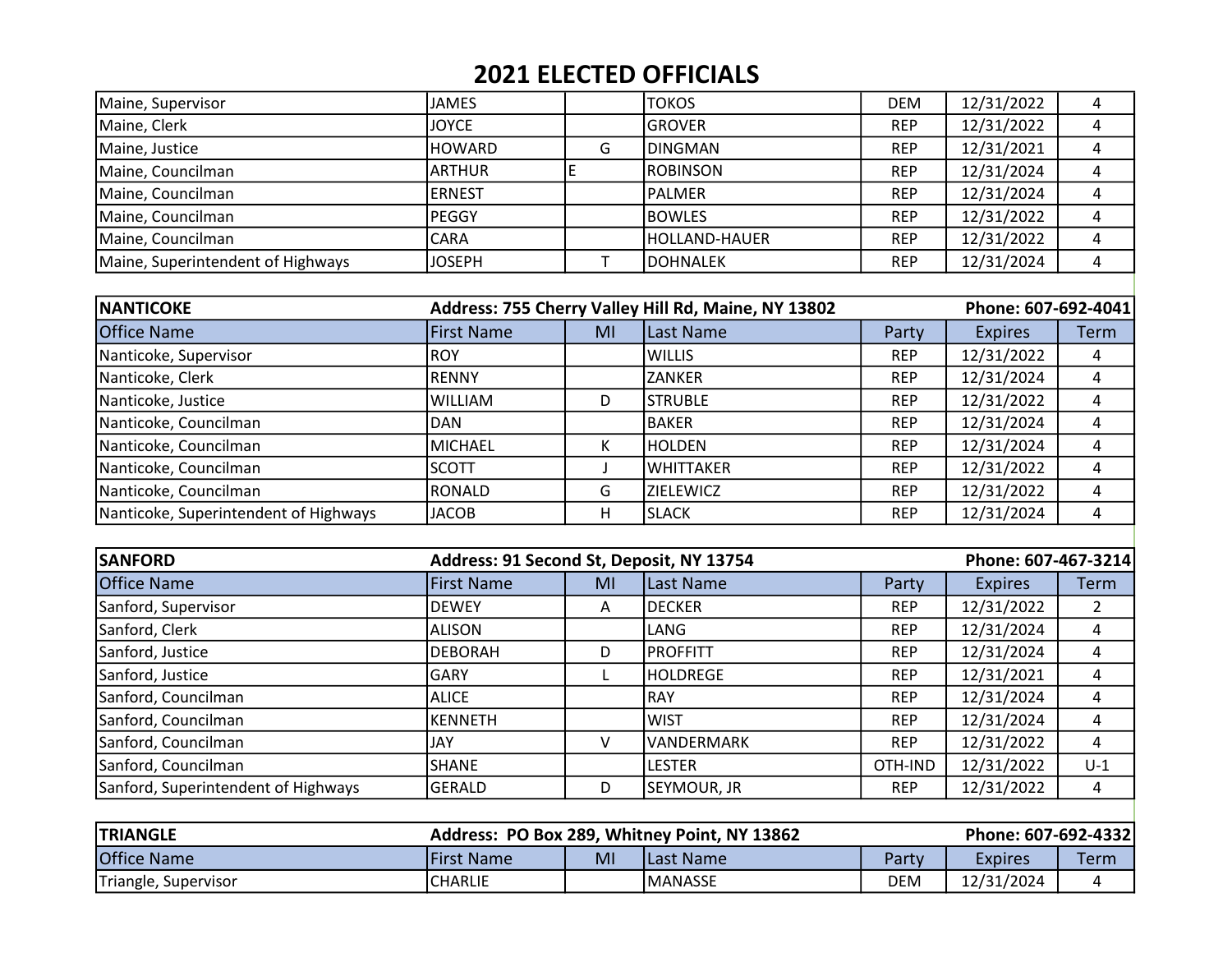| Maine, Supervisor                 | <b>JAMES</b>  |   | TOKOS            | <b>DEM</b> | 12/31/2022 |  |
|-----------------------------------|---------------|---|------------------|------------|------------|--|
| Maine, Clerk                      | <b>JOYCE</b>  |   | <b>GROVER</b>    | <b>REP</b> | 12/31/2022 |  |
| Maine, Justice                    | <b>HOWARD</b> | G | IDINGMAN         | <b>REP</b> | 12/31/2021 |  |
| Maine, Councilman                 | ARTHUR        |   | <b>IROBINSON</b> | <b>REP</b> | 12/31/2024 |  |
| Maine, Councilman                 | <b>ERNEST</b> |   | IPALMER          | <b>REP</b> | 12/31/2024 |  |
| Maine, Councilman                 | <b>PEGGY</b>  |   | <b>IBOWLES</b>   | <b>REP</b> | 12/31/2022 |  |
| Maine, Councilman                 | <b>CARA</b>   |   | lholland-hauer   | <b>REP</b> | 12/31/2022 |  |
| Maine, Superintendent of Highways | <b>JOSEPH</b> |   | <b> DOHNALEK</b> | <b>REP</b> | 12/31/2024 |  |

| <b>NANTICOKE</b>                      |                    | Address: 755 Cherry Valley Hill Rd, Maine, NY 13802 |                |            |                |             |  |
|---------------------------------------|--------------------|-----------------------------------------------------|----------------|------------|----------------|-------------|--|
| <b>Office Name</b>                    | <b>IFirst Name</b> | MI                                                  | Last Name      | Party      | <b>Expires</b> | <b>Term</b> |  |
| Nanticoke, Supervisor                 | IROY               |                                                     | lwillis        | <b>REP</b> | 12/31/2022     |             |  |
| Nanticoke, Clerk                      | IRENNY             |                                                     | <b>IZANKER</b> | <b>REP</b> | 12/31/2024     |             |  |
| Nanticoke, Justice                    | WILLIAM            | D                                                   | STRUBLE        | <b>REP</b> | 12/31/2022     |             |  |
| Nanticoke, Councilman                 | <b>DAN</b>         |                                                     | BAKER          | <b>REP</b> | 12/31/2024     |             |  |
| Nanticoke, Councilman                 | <b>MICHAEL</b>     | К                                                   | IHOLDEN.       | <b>REP</b> | 12/31/2024     |             |  |
| Nanticoke, Councilman                 | ISCOTT             |                                                     | WHITTAKER      | <b>REP</b> | 12/31/2022     |             |  |
| Nanticoke, Councilman                 | RONALD             | G                                                   | ZIELEWICZ      | <b>REP</b> | 12/31/2022     |             |  |
| Nanticoke, Superintendent of Highways | <b>JACOB</b>       | H                                                   | <b>SLACK</b>   | <b>REP</b> | 12/31/2024     |             |  |

| <b>SANFORD</b>                      |                   | Address: 91 Second St, Deposit, NY 13754 |                  |            |                |             |  |
|-------------------------------------|-------------------|------------------------------------------|------------------|------------|----------------|-------------|--|
| <b>Office Name</b>                  | <b>First Name</b> | MI                                       | Last Name        | Party      | <b>Expires</b> | <b>Term</b> |  |
| Sanford, Supervisor                 | <b>DEWEY</b>      | A                                        | <b>DECKER</b>    | <b>REP</b> | 12/31/2022     | 2           |  |
| Sanford, Clerk                      | IALISON           |                                          | LANG             | <b>REP</b> | 12/31/2024     | 4           |  |
| Sanford, Justice                    | <b>DEBORAH</b>    | D                                        | <b>IPROFFITT</b> | <b>REP</b> | 12/31/2024     | 4           |  |
| Sanford, Justice                    | <b>GARY</b>       |                                          | <b>HOLDREGE</b>  | <b>REP</b> | 12/31/2021     | 4           |  |
| Sanford, Councilman                 | <b>ALICE</b>      |                                          | IRAY             | <b>REP</b> | 12/31/2024     | 4           |  |
| Sanford, Councilman                 | <b>KENNETH</b>    |                                          | lwist            | <b>REP</b> | 12/31/2024     | 4           |  |
| Sanford, Councilman                 | JAY               | v                                        | lVANDERMARK      | <b>REP</b> | 12/31/2022     | 4           |  |
| Sanford, Councilman                 | <b>SHANE</b>      |                                          | <b>LESTER</b>    | OTH-IND    | 12/31/2022     | $U-1$       |  |
| Sanford, Superintendent of Highways | <b>GERALD</b>     | D                                        | SEYMOUR, JR      | <b>REP</b> | 12/31/2022     | 4           |  |

| <b>TRIANGLE</b>      |                | Address: PO Box 289, Whitney Point, NY 13862 |            |       |            |             |
|----------------------|----------------|----------------------------------------------|------------|-------|------------|-------------|
| <b>Office Name</b>   | First Name     | MI                                           | ILast Name | Party | Expires    | <b>Term</b> |
| Triangle, Supervisor | <b>CHARLIE</b> |                                              | IMANASSE   | DEM   | 12/31/2024 |             |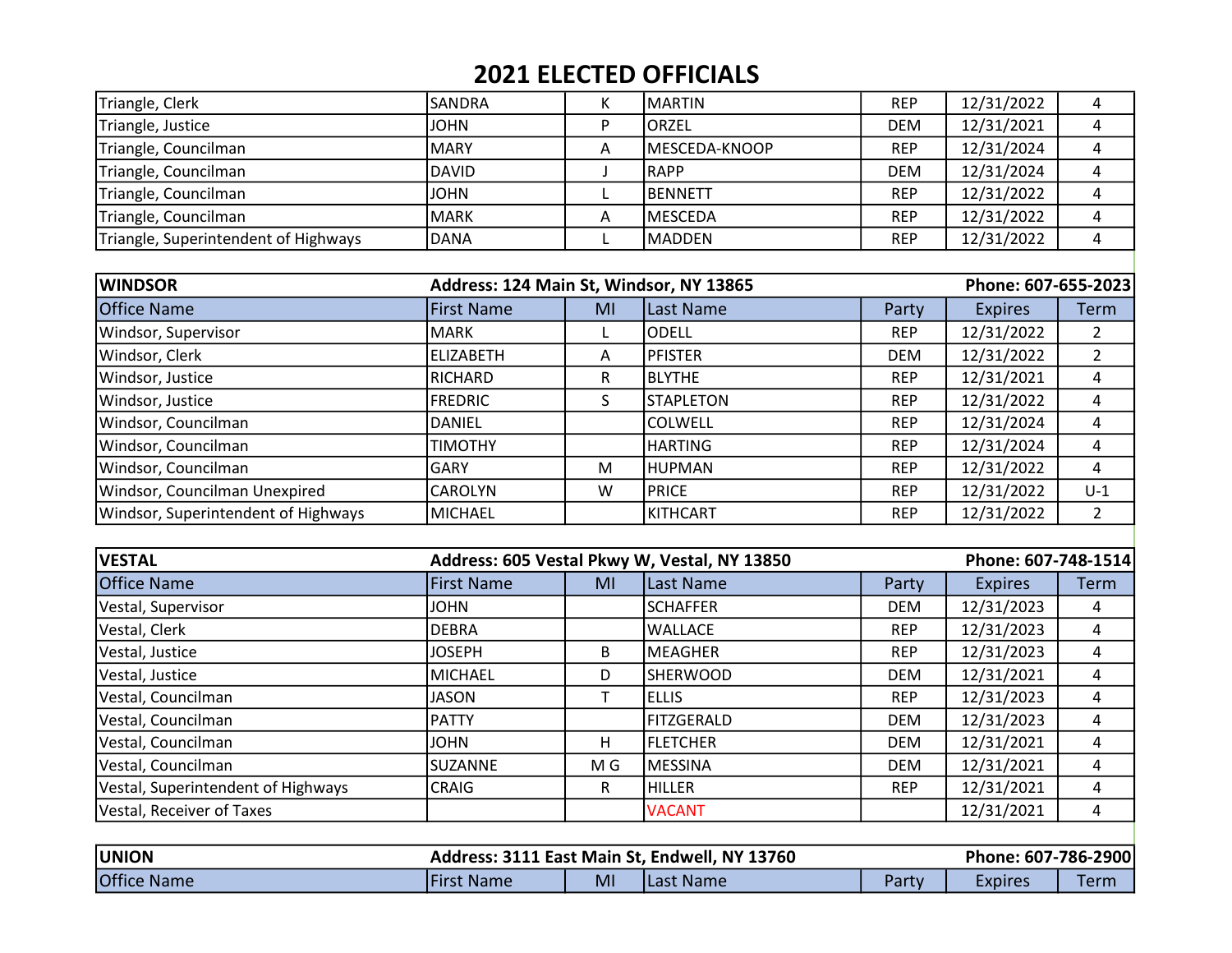| Triangle, Clerk                      | <b>SANDRA</b> |   | IMARTIN               | <b>REP</b> | 12/31/2022 |  |
|--------------------------------------|---------------|---|-----------------------|------------|------------|--|
| Triangle, Justice                    | IJOHN.        |   | <b>ORZEL</b>          | <b>DEM</b> | 12/31/2021 |  |
| Triangle, Councilman                 | IMARY         | A | <b>IMESCEDA-KNOOP</b> | <b>REP</b> | 12/31/2024 |  |
| Triangle, Councilman                 | <b>DAVID</b>  |   | <b>IRAPP</b>          | <b>DEM</b> | 12/31/2024 |  |
| Triangle, Councilman                 | <b>JOHN</b>   |   | IBENNETT              | <b>REP</b> | 12/31/2022 |  |
| Triangle, Councilman                 | IMARK         | A | lMESCEDA              | <b>REP</b> | 12/31/2022 |  |
| Triangle, Superintendent of Highways | DANA          |   | <b>IMADDEN</b>        | <b>REP</b> | 12/31/2022 |  |

| <b>WINDSOR</b>                      | Address: 124 Main St, Windsor, NY 13865 |                |                  |            | Phone: 607-655-2023 |             |
|-------------------------------------|-----------------------------------------|----------------|------------------|------------|---------------------|-------------|
| <b>Office Name</b>                  | First Name                              | M <sub>l</sub> | Last Name        | Party      | <b>Expires</b>      | <b>Term</b> |
| Windsor, Supervisor                 | <b>MARK</b>                             |                | lodell           | <b>REP</b> | 12/31/2022          |             |
| Windsor, Clerk                      | <b>ELIZABETH</b>                        | A              | <b>PFISTER</b>   | <b>DEM</b> | 12/31/2022          |             |
| Windsor, Justice                    | RICHARD                                 | R              | IBLYTHE          | <b>REP</b> | 12/31/2021          | 4           |
| Windsor, Justice                    | <b>FREDRIC</b>                          | S              | <b>STAPLETON</b> | <b>REP</b> | 12/31/2022          | 4           |
| Windsor, Councilman                 | <b>DANIEL</b>                           |                | lcolwell         | <b>REP</b> | 12/31/2024          | 4           |
| Windsor, Councilman                 | <b>TIMOTHY</b>                          |                | <b>HARTING</b>   | <b>REP</b> | 12/31/2024          | 4           |
| Windsor, Councilman                 | <b>GARY</b>                             | M              | HUPMAN           | <b>REP</b> | 12/31/2022          | 4           |
| Windsor, Councilman Unexpired       | <b>CAROLYN</b>                          | W              | <b>PRICE</b>     | <b>REP</b> | 12/31/2022          | $U-1$       |
| Windsor, Superintendent of Highways | <b>MICHAEL</b>                          |                | KITHCART         | <b>REP</b> | 12/31/2022          |             |

| <b>VESTAL</b>                      |                   | Address: 605 Vestal Pkwy W, Vestal, NY 13850<br>Phone: 607-748-1514 |                   |            |                |             |  |
|------------------------------------|-------------------|---------------------------------------------------------------------|-------------------|------------|----------------|-------------|--|
| <b>Office Name</b>                 | <b>First Name</b> | MI                                                                  | Last Name         | Party      | <b>Expires</b> | <b>Term</b> |  |
| Vestal, Supervisor                 | <b>JOHN</b>       |                                                                     | <b>SCHAFFER</b>   | <b>DEM</b> | 12/31/2023     | 4           |  |
| Vestal, Clerk                      | DEBRA             |                                                                     | <b>WALLACE</b>    | <b>REP</b> | 12/31/2023     | 4           |  |
| Vestal, Justice                    | <b>JOSEPH</b>     | B                                                                   | <b>MEAGHER</b>    | <b>REP</b> | 12/31/2023     | 4           |  |
| Vestal, Justice                    | MICHAEL           | D                                                                   | <b>SHERWOOD</b>   | <b>DEM</b> | 12/31/2021     | 4           |  |
| Vestal, Councilman                 | JASON             |                                                                     | <b>ELLIS</b>      | <b>REP</b> | 12/31/2023     | 4           |  |
| Vestal, Councilman                 | PATTY             |                                                                     | <b>FITZGERALD</b> | <b>DEM</b> | 12/31/2023     | 4           |  |
| Vestal, Councilman                 | <b>JOHN</b>       | H                                                                   | <b>FLETCHER</b>   | <b>DEM</b> | 12/31/2021     | 4           |  |
| Vestal, Councilman                 | <b>SUZANNE</b>    | M G                                                                 | MESSINA           | <b>DEM</b> | 12/31/2021     | 4           |  |
| Vestal, Superintendent of Highways | <b>CRAIG</b>      | R.                                                                  | <b>HILLER</b>     | <b>REP</b> | 12/31/2021     | 4           |  |
| Vestal, Receiver of Taxes          |                   |                                                                     | <b>VACANT</b>     |            | 12/31/2021     | 4           |  |
| . <b>. .</b>                       | - - -             |                                                                     |                   |            | --             |             |  |

| <b>UNION</b>       | Address: 3111 East Main St, Endwell, NY 13760 | Phone: 607-786-2900 |           |       |         |             |
|--------------------|-----------------------------------------------|---------------------|-----------|-------|---------|-------------|
| <b>Office Name</b> | <b>First Name</b>                             | MI                  | Last Name | Party | Expires | <b>Term</b> |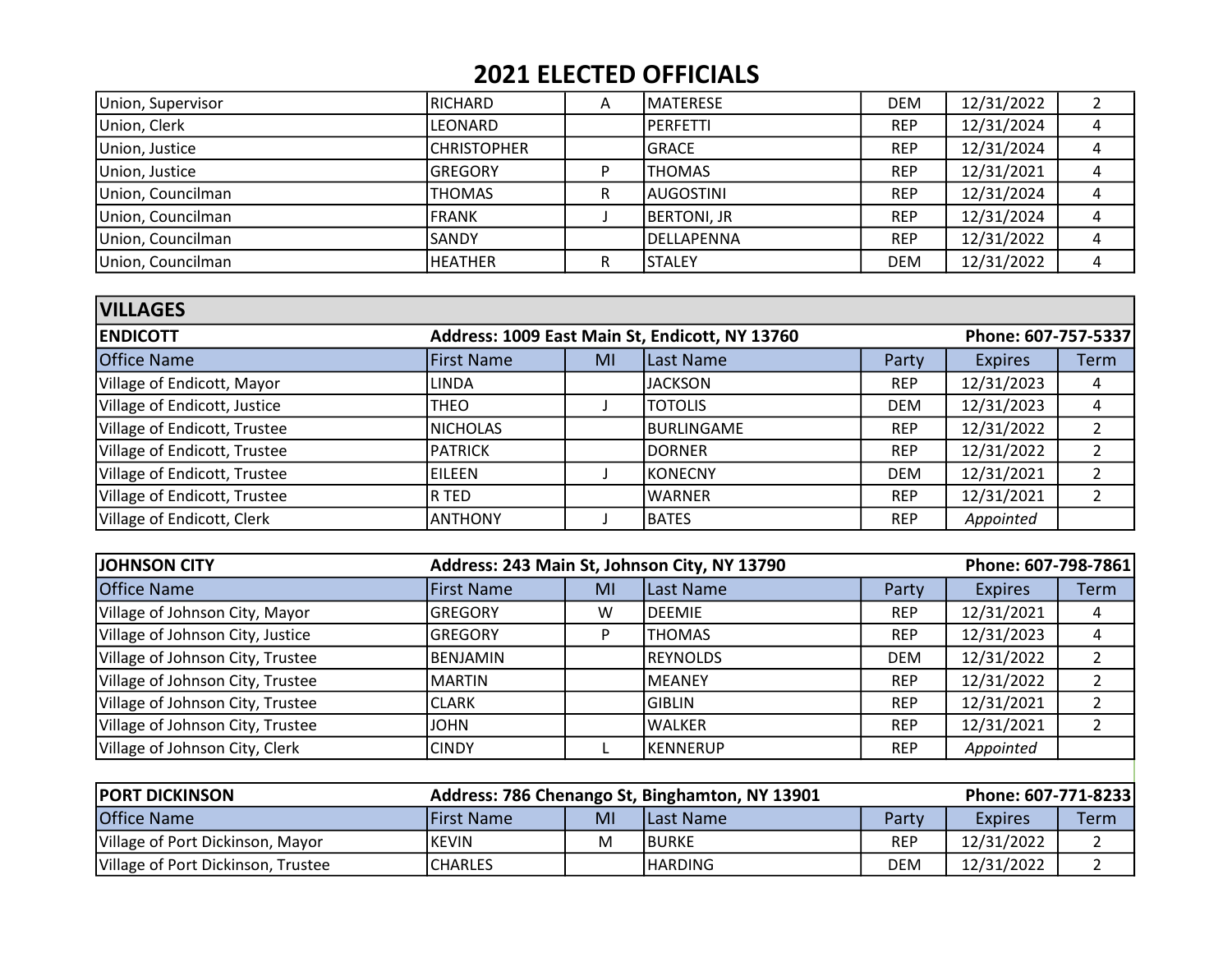| Union, Supervisor | RICHARD            | A | <b>IMATERESE</b>   | <b>DEM</b> | 12/31/2022 |   |
|-------------------|--------------------|---|--------------------|------------|------------|---|
| Union, Clerk      | LEONARD            |   | IPERFETTI          | <b>REP</b> | 12/31/2024 | 4 |
| Union, Justice    | <b>CHRISTOPHER</b> |   | <b>GRACE</b>       | <b>REP</b> | 12/31/2024 |   |
| Union, Justice    | lGREGORY           | D | <b>THOMAS</b>      | <b>REP</b> | 12/31/2021 |   |
| Union, Councilman | <b>THOMAS</b>      | R | <b>AUGOSTINI</b>   | <b>REP</b> | 12/31/2024 |   |
| Union, Councilman | <b>FRANK</b>       |   | <b>BERTONI, JR</b> | <b>REP</b> | 12/31/2024 |   |
| Union, Councilman | ISANDY             |   | IDELLAPENNA        | <b>REP</b> | 12/31/2022 |   |
| Union, Councilman | HEATHER            | R | ISTALEY            | <b>DEM</b> | 12/31/2022 |   |

| <b>VILLAGES</b>              |                   |                                                                       |                |            |                |      |  |
|------------------------------|-------------------|-----------------------------------------------------------------------|----------------|------------|----------------|------|--|
| <b>ENDICOTT</b>              |                   | Address: 1009 East Main St, Endicott, NY 13760<br>Phone: 607-757-5337 |                |            |                |      |  |
| <b>Office Name</b>           | <b>First Name</b> | MI                                                                    | Last Name      | Party      | <b>Expires</b> | Term |  |
| Village of Endicott, Mayor   | <b>LINDA</b>      |                                                                       | <b>JACKSON</b> | <b>REP</b> | 12/31/2023     | 4    |  |
| Village of Endicott, Justice | <b>THEO</b>       |                                                                       | <b>TOTOLIS</b> | <b>DEM</b> | 12/31/2023     | 4    |  |
| Village of Endicott, Trustee | <b>NICHOLAS</b>   |                                                                       | BURLINGAME     | <b>REP</b> | 12/31/2022     |      |  |
| Village of Endicott, Trustee | PATRICK           |                                                                       | IDORNER        | <b>REP</b> | 12/31/2022     |      |  |
| Village of Endicott, Trustee | EILEEN            |                                                                       | KONECNY        | <b>DEM</b> | 12/31/2021     |      |  |
| Village of Endicott, Trustee | R TED             |                                                                       | WARNER         | <b>REP</b> | 12/31/2021     |      |  |
| Village of Endicott, Clerk   | <b>ANTHONY</b>    |                                                                       | <b>BATES</b>   | <b>REP</b> | Appointed      |      |  |

| <b>JOHNSON CITY</b>              |                    | Address: 243 Main St, Johnson City, NY 13790 |                 |            |                |                |
|----------------------------------|--------------------|----------------------------------------------|-----------------|------------|----------------|----------------|
| <b>Office Name</b>               | <b>IFirst Name</b> | MI                                           | Last Name       | Party      | <b>Expires</b> | <b>Term</b>    |
| Village of Johnson City, Mayor   | lGREGORY           | W                                            | IDEEMIE         | <b>REP</b> | 12/31/2021     | 4              |
| Village of Johnson City, Justice | <b>GREGORY</b>     | P                                            | <b>THOMAS</b>   | <b>REP</b> | 12/31/2023     | 4              |
| Village of Johnson City, Trustee | <b>BENJAMIN</b>    |                                              | REYNOLDS        | <b>DEM</b> | 12/31/2022     | $\overline{2}$ |
| Village of Johnson City, Trustee | <b>MARTIN</b>      |                                              | IMEANEY         | <b>REP</b> | 12/31/2022     | 2              |
| Village of Johnson City, Trustee | <b>CLARK</b>       |                                              | <b>GIBLIN</b>   | <b>REP</b> | 12/31/2021     | $\overline{2}$ |
| Village of Johnson City, Trustee | <b>JOHN</b>        |                                              | <b>WALKER</b>   | <b>REP</b> | 12/31/2021     |                |
| Village of Johnson City, Clerk   | <b>CINDY</b>       |                                              | <b>KENNERUP</b> | <b>REP</b> | Appointed      |                |

| <b>IPORT DICKINSON</b>             | Address: 786 Chenango St, Binghamton, NY 13901 | Phone: 607-771-8233 |            |            |                |      |
|------------------------------------|------------------------------------------------|---------------------|------------|------------|----------------|------|
| <b>Office Name</b>                 | lFirst Name                                    | MI                  | ILast Name | Party      | <b>Expires</b> | Term |
| Village of Port Dickinson, Mayor   | IKEVIN                                         | M                   | IBURKE     | <b>REP</b> | 12/31/2022     |      |
| Village of Port Dickinson, Trustee | ICHARLES                                       |                     | IHARDING   | <b>DEM</b> | 12/31/2022     |      |